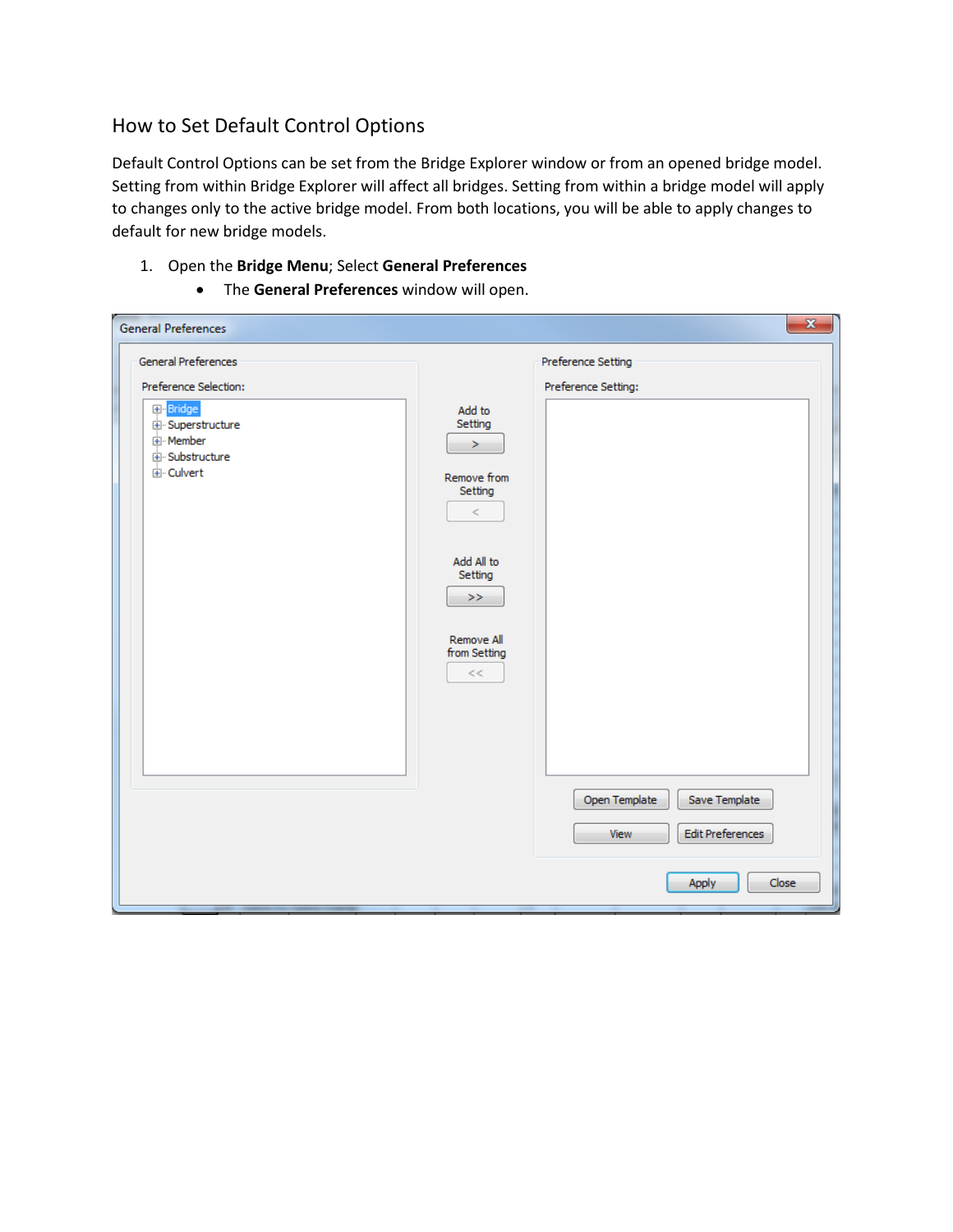## How to Set Default Control Options

Default Control Options can be set from the Bridge Explorer window or from an opened bridge model. Setting from within Bridge Explorer will affect all bridges. Setting from within a bridge model will apply to changes only to the active bridge model. From both locations, you will be able to apply changes to default for new bridge models.

- 1. Open the **Bridge Menu**; Select **General Preferences**
	- The **General Preferences** window will open.

| General Preferences<br>Preference Setting<br>Preference Selection:<br>Preference Setting:<br>Bridge<br>Add to<br>Setting<br>Superstructure<br>由·Member<br>><br>E-Substructure<br><b>E</b> -Culvert<br>Remove from<br>Setting<br>$\,<$<br>Add All to<br>Setting<br>>><br>Remove All<br>from Setting<br>$<<$<br>Save Template<br>Open Template | <b>General Preferences</b> | $\mathbf{x}$             |
|----------------------------------------------------------------------------------------------------------------------------------------------------------------------------------------------------------------------------------------------------------------------------------------------------------------------------------------------|----------------------------|--------------------------|
|                                                                                                                                                                                                                                                                                                                                              |                            |                          |
|                                                                                                                                                                                                                                                                                                                                              |                            |                          |
| Close<br>Apply                                                                                                                                                                                                                                                                                                                               |                            | Edit Preferences<br>View |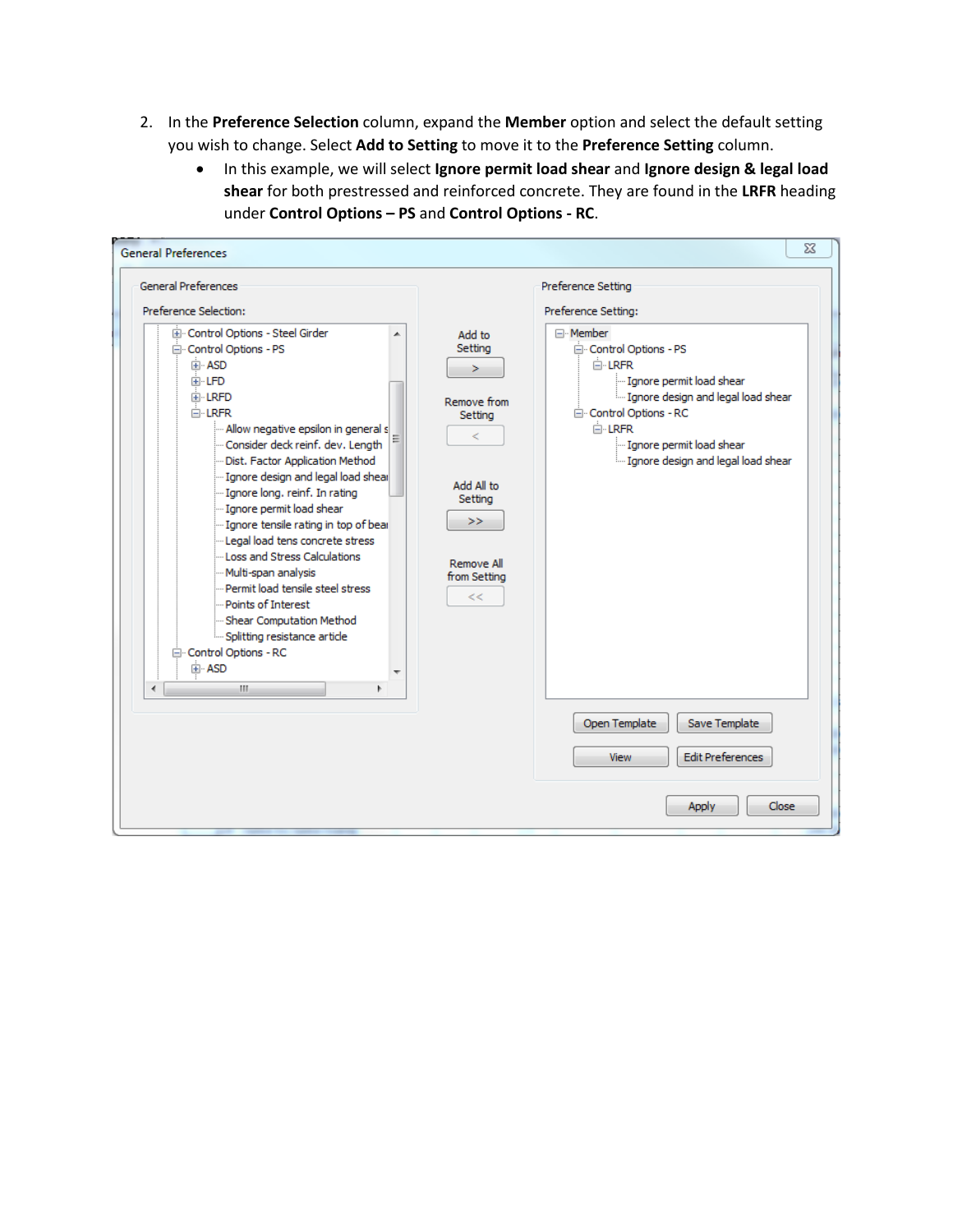- 2. In the **Preference Selection** column, expand the **Member** option and select the default setting you wish to change. Select **Add to Setting** to move it to the **Preference Setting** column.
	- In this example, we will select **Ignore permit load shear** and **Ignore design & legal load shear** for both prestressed and reinforced concrete. They are found in the **LRFR** heading under **Control Options – PS** and **Control Options - RC**.

| <b>General Preferences</b><br>Preference Selection:                                                                                                                                                                                                                                                                                                                                                                                                                                                                                                                                                                                                          |                                                                                                                          | Preference Setting<br>Preference Setting:                                                                                                                                                                                                         |
|--------------------------------------------------------------------------------------------------------------------------------------------------------------------------------------------------------------------------------------------------------------------------------------------------------------------------------------------------------------------------------------------------------------------------------------------------------------------------------------------------------------------------------------------------------------------------------------------------------------------------------------------------------------|--------------------------------------------------------------------------------------------------------------------------|---------------------------------------------------------------------------------------------------------------------------------------------------------------------------------------------------------------------------------------------------|
| E Control Options - Steel Girder<br>▲<br>白· Control Options - PS<br>国·ASD<br>国·LFD<br>E LRFD<br><b>□ LRFR</b><br>- Allow negative epsilon in general s<br>Consider deck reinf, dev, Length<br>Dist, Factor Application Method<br>"Ignore design and legal load shear<br>Ignore long, reinf. In rating<br>Ignore permit load shear<br>Ignore tensile rating in top of bear<br>Legal load tens concrete stress<br>Loss and Stress Calculations<br>Multi-span analysis<br>- Permit load tensile steel stress<br>- Points of Interest<br>"Shear Computation Method<br>i Splitting resistance article<br>□ Control Options - RC<br>国·ASD<br>$\epsilon$<br>m.<br>k | Add to<br>Setting<br>><br>Remove from<br>Setting<br>2<br>Add All to<br>Setting<br>>><br>Remove All<br>from Setting<br><< | ⊟ · Member<br>□ Control Options - PS<br><b>E-LRFR</b><br>Ignore permit load shear<br>i Ignore design and legal load shear<br>□ Control Options - RC<br>$\overline{\Box}$ LRFR<br>Ignore permit load shear<br>i Ignore design and legal load shear |
|                                                                                                                                                                                                                                                                                                                                                                                                                                                                                                                                                                                                                                                              |                                                                                                                          | Open Template<br>Save Template<br><b>Edit Preferences</b><br><b>View</b>                                                                                                                                                                          |
|                                                                                                                                                                                                                                                                                                                                                                                                                                                                                                                                                                                                                                                              |                                                                                                                          | Close<br><b>Apply</b>                                                                                                                                                                                                                             |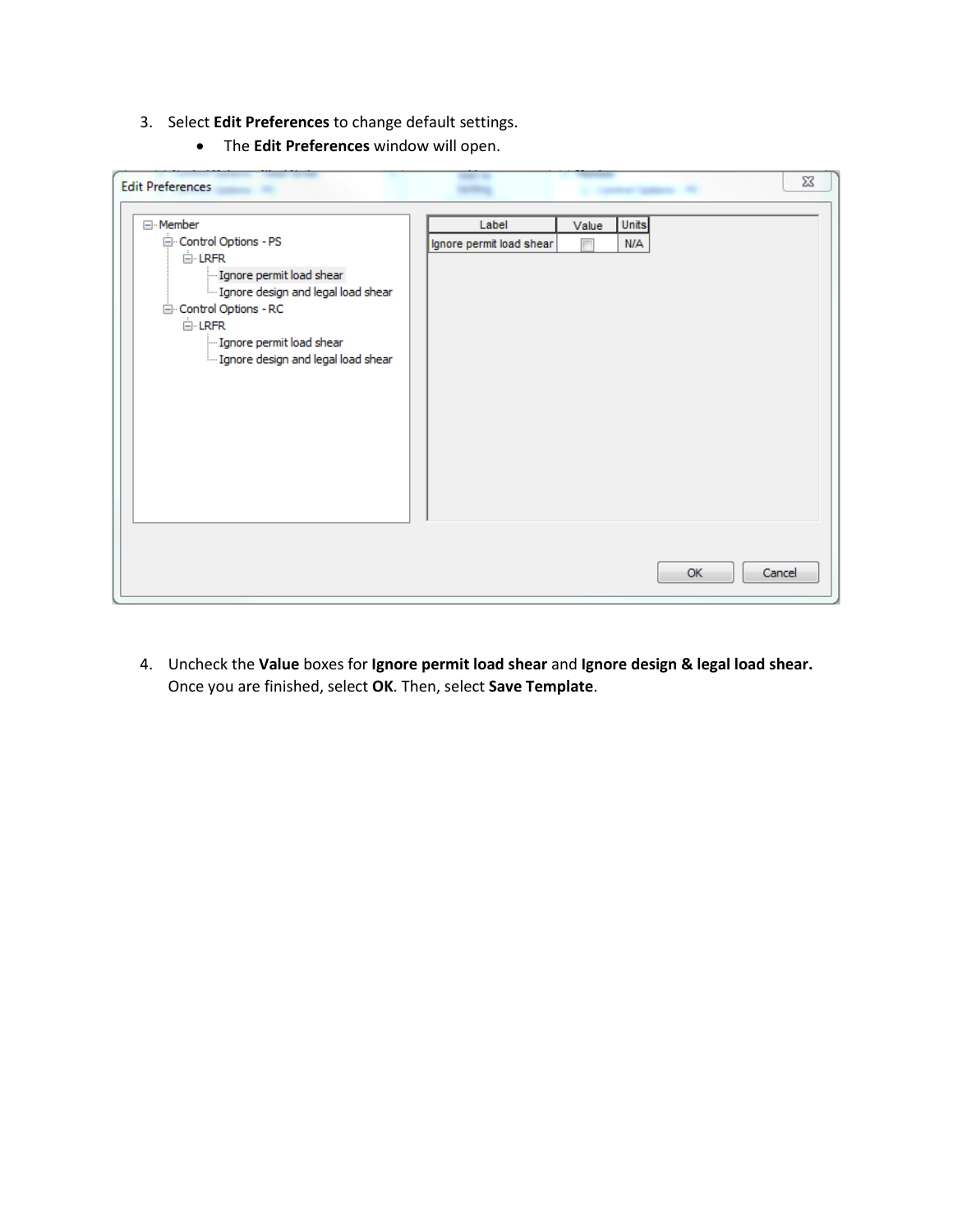- 3. Select **Edit Preferences** to change default settings.
	- The **Edit Preferences** window will open.

| <b>Edit Preferences</b>                                                                                                                                                                                                                                |                                   |                                   | 23     |
|--------------------------------------------------------------------------------------------------------------------------------------------------------------------------------------------------------------------------------------------------------|-----------------------------------|-----------------------------------|--------|
| ⊟ <sup>.</sup> Member<br>Control Options - PS<br>$\mathbb{H}$ LRFR<br>Ignore permit load shear<br>Im Ignore design and legal load shear<br>□ Control Options - RC<br><b>E-LRFR</b><br>- Ignore permit load shear<br>Ignore design and legal load shear | Label<br>Ignore permit load shear | Units<br>Value<br><b>N/A</b><br>Γ |        |
|                                                                                                                                                                                                                                                        |                                   | OK.                               | Cancel |

4. Uncheck the **Value** boxes for **Ignore permit load shear** and **Ignore design & legal load shear.**  Once you are finished, select **OK**. Then, select **Save Template**.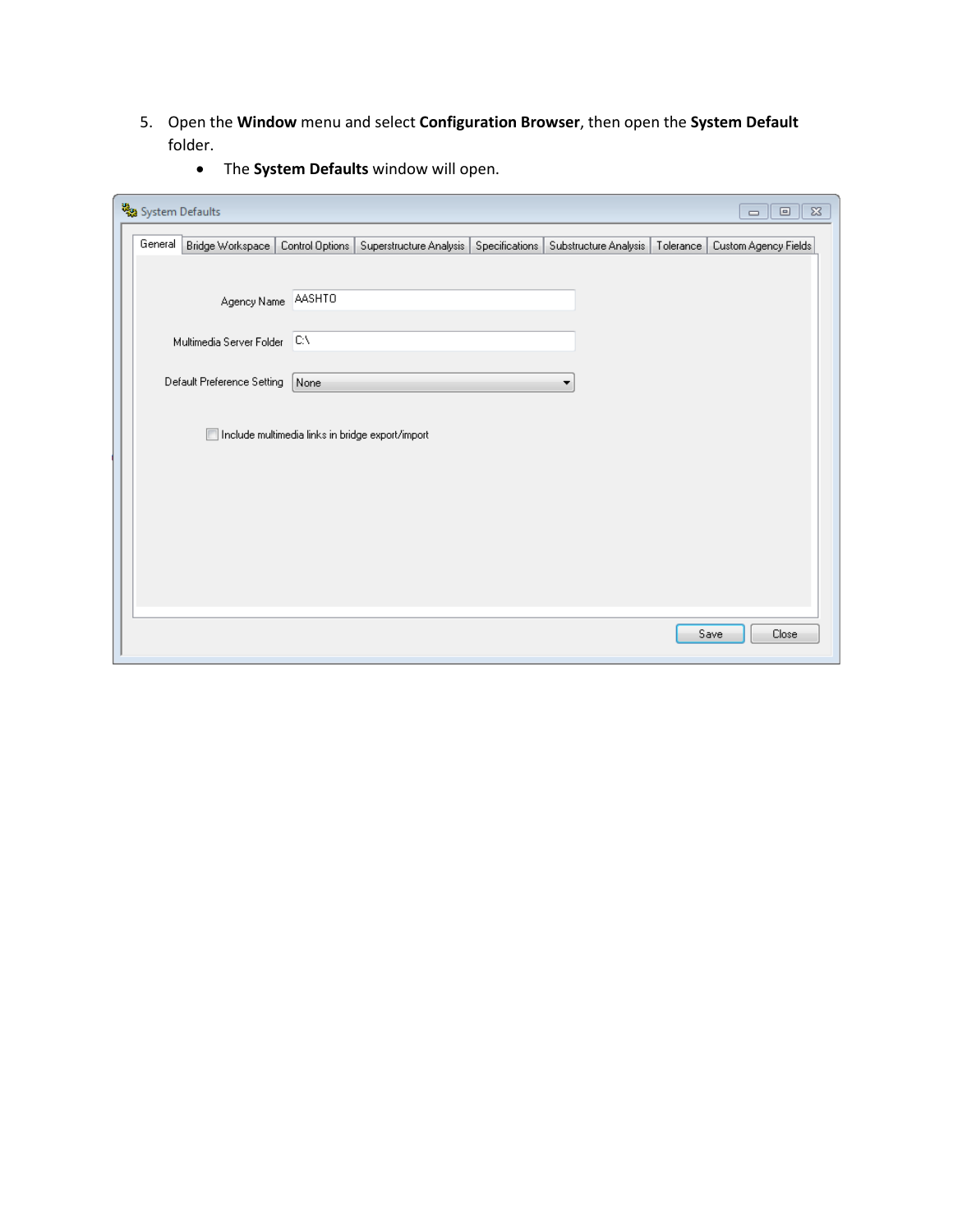5. Open the **Window** menu and select **Configuration Browser**, then open the **System Default** folder.

| System Defaults |                              |                 |                                                  |                |                       |           | $\Box$<br>$\qquad \qquad \Box$ | $\Sigma\!3$ |
|-----------------|------------------------------|-----------------|--------------------------------------------------|----------------|-----------------------|-----------|--------------------------------|-------------|
| General         | Bridge Workspace             | Control Options | Superstructure Analysis                          | Specifications | Substructure Analysis | Tolerance | Custom Agency Fields           |             |
|                 |                              |                 |                                                  |                |                       |           |                                |             |
|                 | Agency Name                  | AASHTO          |                                                  |                |                       |           |                                |             |
|                 | Multimedia Server Folder C:\ |                 |                                                  |                |                       |           |                                |             |
|                 | Default Preference Setting   | None            |                                                  |                | ▼                     |           |                                |             |
|                 |                              |                 | Include multimedia links in bridge export/import |                |                       |           |                                |             |
|                 |                              |                 |                                                  |                |                       |           |                                |             |
|                 |                              |                 |                                                  |                |                       |           |                                |             |
|                 |                              |                 |                                                  |                |                       |           |                                |             |
|                 |                              |                 |                                                  |                |                       |           |                                |             |
|                 |                              |                 |                                                  |                |                       |           |                                |             |
|                 |                              |                 |                                                  |                |                       |           | Save<br>Close                  |             |

• The **System Defaults** window will open.